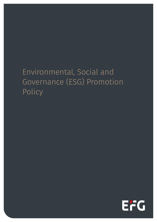# Environmental, Social and Governance (ESG) Promotion Policy

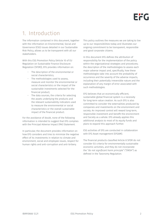### 1. Introduction

The information contained in this document, together with the information on Environmental, Social and Governance (ESG) issues detailed in our Sustainable Risk Policy, allows us to be transparent with all our stakeholders.

With this ESG Promotion Policy (Article 10 of EU Regulation on Sustainable Finance Disclosure Regulation (SFDR)), EFG provides information on:

- The description of the environmental or social characteristics;
- The methodologies used to assess, measure and monitor the environmental or social characteristics or the impact of the sustainable investments selected for the financial product;
- The data sources, the criteria for selecting the assets underlying the products and the relevant sustainability indicators used to measure the environmental or social characteristics or the overall sustainable impact of the financial product.

For the avoidance of doubt, none of the following information is intended to suggest that EFG complies with the Principal Adverse Impact (PAI) Statement.

In particular, the document provides information on how EFG considers and tries to minimize the negative effect of its investments in relation to climate and environment, social and employee issues, respect for human rights and anti-corruption and anti-bribery.

This policy outlines the measures we are taking to live up to our responsibilities today and illustrates our ongoing commitment to be transparent, responsible and good corporate citizens.

In this document EFG defines the attribution of responsibility for the implementation of the policy within the organizational strategies and procedures; the description of the methodologies to assess each major adverse impact and, specifically, how these methodologies take into account the probability of occurrence and the severity of the adverse impacts, including their potentially irreversible nature and the explanation of any margin of error associated with such methodologies.

EFG believes that an economically efficient, sustainable global financial system is a necessity for long-term value creation. As such EFG is also committed to consider the externalities produced by companies and investments on the environment and society. An improved control will reward long-term, responsible investment and benefit the environment and Society as a whole. EFG already applies this additional analysis to most of its equity funds and plans to expand this approach further.

ESG activities of EFG are conducted in collaboration with EFG Asset management (EFGAM).

The financial products classified Article 8 SFDR do not consider EU criteria for environmentally sustainable economic activities, and they do not incorporate the "*do not significant harm principle*" ("DNSH") as defined in the Taxonomy Regulation.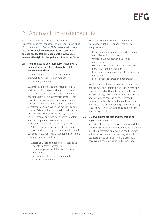# 2. Approach to sustainability

Currently even if EFG considers the impact of externalities in the management of product promoting Environmental and Social (E&S) characteristics (see below), EFG decided to opt-out to PAI reporting (please see PAI Opt-out document). However, EFG reserves the right to change its position in the future.

#### 2.1 The internal and external sources used by EFG to monitor the negative externalities of its investment decisions.

The following process describes the EFG approach to assess ESG and manage discretionary mandates.

ESG integration refers to the inclusion of ESG and sustainability risks and opportunities in traditional financial analysis and investment decisions based on a systematic process. This is key to us as we believe these aspects are needed in order to achieve a well-founded investment decision. While the availability and quality of data in the ESG domain is still below the standard EFG would like to see, EFG uses various internal and external sources to obtain a more complete assessment. In addition to internal analysis EFG uses Refinitiv, RepRisk and CDP (Data Providers) data and other are under discussion. These data play a central role when it comes to implementing a sustainable investment policy as they are used to:

- Assess ESG risks companies are exposed to;
- Evaluate negative externalities;
- Drive engagement activities with invested companies;
- Monitor our risks in the sustainability field;
- Report to stakeholders.

EFG is aware that the set of data that exist worldwide is definitely suboptimal due to many reasons:

- Lack of coherent reporting standard among countries and companies;
- Unclear data publication pattern by companies;
- Weak reporting practices in many countries, particularly the emerging ones;
- Errors and misalignment in data reported by companies;
- Errors in data reported by data providers .

EFG is committed to manage these issues in an optimal way and therefore applies the best due diligence possible through specific additional analysis through website or documents checking and requests to companies for increased transparency. Feedback and amendments are integrated into our Global Responsible Investing Platform (GRIP) system and considered for the final rating calculation.

#### 2.2 EFG Investment process and integration of negative externalities

As part of the process, it should be ensured that relevant ESG risks and opportunities are included into the investment analysis and can therefore influence decision. While the integration of ESG factors into our investment process is a necessary first step, it can't be the only one.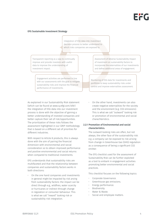### EFG Sustainable Investment Strategy

Integration of ESG data into investment decision process to better understand to which risks companies are exposed to.

Transparent reporting as a way to continually improve and provide investors with useful data to improve the understanding of investment impact.

> Engagement activities are performed in line with our assessments with the goal to mitigate sustainability risks and improve the financial performance of investments.

As explained in our Sustainability Risk statement (which can be found at [www.cy.efgl.com/sfdr](http://www.cy.efgl.com/sfdr)) the integration of ESG data into our investment process is done with the objective of gaining a better understanding of invested companies and better capture their set of risk/opportunities. The prioritization of these risks follows the assessment highlighted in our GRIP methodology that is based on a different set of priorities for different industries.

With respect to Article 8 products, this is always done with the aim of pairing the financial dimension with environmental and social consideration so to obtain improved performance and positive environmental and social returns when compared to traditional investments.

EFG understands that sustainability risks are multifaceted and that the relationship between companies and sustainability factors works in both directions:

• On the one hand companies and investments in general might be impacted by risk arsing from sustainability factors: the impact can be direct through e.g., wildfires, water scarcity or hurricanes or indirect through change in regulation or consumer behaviour. This is what we call "inward" looking risk or sustainability risk integration.

Assessment of Adverse Sustainability Impact of investment on sustainability factors to incorporate the externalities of our investments and define additional areas of engagement.

Monitoring of ESG data for investments and portfolios to keep sustainability risks under control and improve externalities assessment.

• On the other hand, investments can also create negative externalities for the society and the environment (e.g. CO2 emissions). This is what we call "outward" looking risk or promotion of environmental and social charachteristics.

### 2.2.1 Promotion of Environmental and social characteristics.

The outward looking risks are often, but not always, the other face of the sustainability risk: e.g. a company can be exposed to risk arising from change in Greenhouse Gas (GHG) regulation as a consequence of being a significant CO2 emitter.

The EFG checklist used for the assessment of Sustainability Risk can be further exploited as a tool to embark in engagement activities promoting better environmental and social practices.

This checklist focuses on the following topics:

- Corporate Governance.
- Greenhouse gas emissions.
- Energy performance.
- Biodiversity.
- Water & Waste.
- Social and employee matters.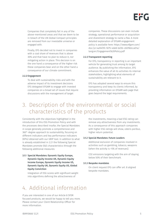

Companies that completely fail in any of the above-mentioned areas and that we deem to be in breach of the UN Global Compact principles are removed from our investable universe or engaged with.

Finally, EFG decided not to invest in companies with a coal share of revenues that is above 30% and that have no plan to reduce it, nor mitigating action in place. This decision is on the one hand a consequence of the higher risk these companies bear and on the other hand a consequence of our climate commitment.

#### 2.2.2 Engagement

To deal with sustainability risks and with the adverse impact of its investment decisions EFG delegated EFGAM to engage with invested companies on a broad set of issues that require discussions with the management of target

companies. These discussions can even include strategy, operational performance or acquisition and divestment strategy to name a few. A more detailed explanation of EFGAM engagement policy is available here: [https://www.efgam.com/](https://www.efgam.com/doc/jcr:4a94f2fc-9275-4de8-bd3b-c6078dcca01a/lang:en/Engagement%20Policy.pdf) [doc/jcr:4a94f2fc-9275-4de8-bd3b-c6078dcca01a/](https://www.efgam.com/doc/jcr:4a94f2fc-9275-4de8-bd3b-c6078dcca01a/lang:en/Engagement%20Policy.pdf) [lang:en/Engagement%20Policy.pdf](https://www.efgam.com/doc/jcr:4a94f2fc-9275-4de8-bd3b-c6078dcca01a/lang:en/Engagement%20Policy.pdf)

#### 2.2.3 Transparent reporting

For EFG, transparency in reporting is an important vehicle for generating trust among its target audience. By publishing the information, EFG enhances the value of all its activities its internal stakeholders, highlighting what elements of sustainability are relevant to it.

EFG has adopted several ways to ensure this transparency and keep its clients informed, by providing information on EFGAM web page that goes beyond the legal requirements.

## 3. Description of the environmental or social characteristics of the products

Consistently with the objectives highlighted in the introduction of this ESG Promotion Policy and with the processes described insofar, the Special Mandates in scope generally promote a comprehensive and 360°-degree approach to sustainability, focusing on different indicators and key performance indicators (KPIs) obtained with our GRIP tool. In addition to what is already established in 2.2.1 the following Special Mandates promote E&S characteristics through the following additional measures:

3.1.1 Special Mandates: Dynamic Equity Europe, Dynamic Equity Income UK, Dynamic Equity Income Europe, Dynamic Equity Income US, Dynamic Equity UK, Dynamic Equity US, Global Equity Conviction

Integration of ESG scores with significant weight into algorithms defining the attractiveness of

the investments, meaning a bad ESG rating can remove any attractiveness from any investments. As a consequence of this approach companies with higher ESG ratings will show, *ceteris paribus*, higher return potential.

#### 3.1.2 Special Mandates: Future Leaders

Additional exclusion of companies involved in activities such as gambling, tobacco, weapons (when the activity is >5% of revenues).

CO2 emissions targeting with the aim of staying below 50% of their benchmark.

#### 3.1.3 Bespoke mandates

On client request EFG can offer art. 8 aligned bespoke mandates.

### 4. Additional information

If you are interested in one of our Article 8 SFDR focused products, we would be happy to tell you more. Please contact your Client Relationship Officer for more information.